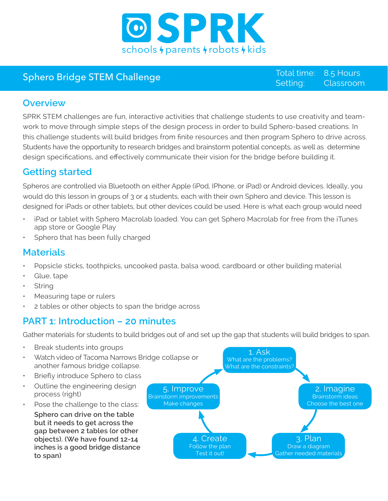

# Sphero Bridge STEM Challenge Superinter Sphero Bridge STEM Challenge

Setting: 8.5 Hours Classroom

#### **Overview**

SPRK STEM challenges are fun, interactive activities that challenge students to use creativity and teamwork to move through simple steps of the design process in order to build Sphero-based creations. In this challenge students will build bridges from finite resources and then program Sphero to drive across. Students have the opportunity to research bridges and brainstorm potential concepts, as well as determine design specifications, and effectively communicate their vision for the bridge before building it.

# **Getting started**

Spheros are controlled via Bluetooth on either Apple (iPod, IPhone, or iPad) or Android devices. Ideally, you would do this lesson in groups of 3 or 4 students, each with their own Sphero and device. This lesson is designed for iPads or other tablets, but other devices could be used. Here is what each group would need

- iPad or tablet with Sphero Macrolab loaded. You can get Sphero Macrolab for free from the iTunes app store or Google Play
- Sphero that has been fully charged

#### **Materials**

- Popsicle sticks, toothpicks, uncooked pasta, balsa wood, cardboard or other building material
- Glue, tape
- **String**
- Measuring tape or rulers
- 2 tables or other objects to span the bridge across

## **PART 1: Introduction – 20 minutes**

Gather materials for students to build bridges out of and set up the gap that students will build bridges to span.

- Break students into groups
- Watch video of Tacoma Narrows Bridge collapse or another famous bridge collapse.
- Briefly introduce Sphero to class
- Outline the engineering design process (right)
- Pose the challenge to the class: **Sphero can drive on the table but it needs to get across the gap between 2 tables (or other objects). (We have found 12-14 inches is a good bridge distance to span)**

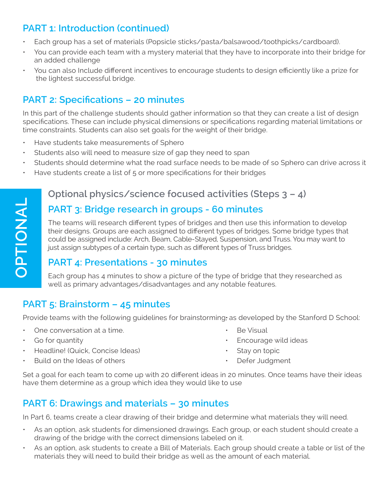# **PART 1: Introduction (continued)**

- Each group has a set of materials (Popsicle sticks/pasta/balsawood/toothpicks/cardboard).
- You can provide each team with a mystery material that they have to incorporate into their bridge for an added challenge
- You can also Include different incentives to encourage students to design efficiently like a prize for the lightest successful bridge.

## **PART 2: Specifications – 20 minutes**

In this part of the challenge students should gather information so that they can create a list of design specifications. These can include physical dimensions or specifications regarding material limitations or time constraints. Students can also set goals for the weight of their bridge.

- Have students take measurements of Sphero
- Students also will need to measure size of gap they need to span
- Students should determine what the road surface needs to be made of so Sphero can drive across it
- Have students create a list of 5 or more specifications for their bridges

# **Optional physics/science focused activities (Steps 3 – 4)**

#### **PART 3: Bridge research in groups - 60 minutes**

The teams will research different types of bridges and then use this information to develop their designs. Groups are each assigned to different types of bridges. Some bridge types that could be assigned include: Arch, Beam, Cable-Stayed, Suspension, and Truss. You may want to just assign subtypes of a certain type, such as different types of Truss bridges.

## **PART 4: Presentations - 30 minutes**

Each group has 4 minutes to show a picture of the type of bridge that they researched as well as primary advantages/disadvantages and any notable features.

## **PART 5: Brainstorm – 45 minutes**

Provide teams with the following guidelines for brainstorming, as developed by the Stanford D School: •

- One conversation at a time.
- Go for quantity
- Headline! (Quick, Concise Ideas)
- Build on the Ideas of others
- Be Visual
- Encourage wild ideas
- Stay on topic
- Defer Judgment

Set a goal for each team to come up with 20 different ideas in 20 minutes. Once teams have their ideas have them determine as a group which idea they would like to use

## **PART 6: Drawings and materials – 30 minutes**

In Part 6, teams create a clear drawing of their bridge and determine what materials they will need.

- As an option, ask students for dimensioned drawings. Each group, or each student should create a drawing of the bridge with the correct dimensions labeled on it.
- As an option, ask students to create a Bill of Materials. Each group should create a table or list of the materials they will need to build their bridge as well as the amount of each material.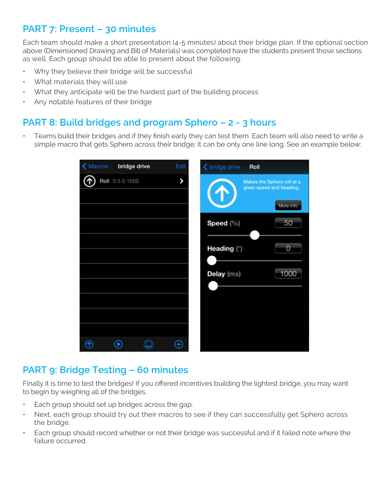## **PART 7: Present – 30 minutes**

Each team should make a short presentation (4-5 minutes) about their bridge plan. If the optional section above (Dimensioned Drawing and Bill of Materials) was completed have the students present those sections as well. Each group should be able to present about the following.

- Why they believe their bridge will be successful
- What materials they will use
- What they anticipate will be the hardest part of the building process
- Any notable features of their bridge

#### **PART 8: Build bridges and program Sphero – 2 - 3 hours**

• Teams build their bridges and if they finish early they can test them. Each team will also need to write a simple macro that gets Sphero across their bridge; it can be only one line long. See an example below:

| Macros<br>bridge drive | Edit                                                                                                        | <b>く</b> bridge drive<br>Roll                                       |
|------------------------|-------------------------------------------------------------------------------------------------------------|---------------------------------------------------------------------|
| Roll 0.5 0 1000        | >                                                                                                           | Makes the Sphero roll at a<br>given speed and heading.<br>More Info |
|                        |                                                                                                             | Speed (%)<br>50                                                     |
|                        |                                                                                                             | Heading (°)<br>$\overline{0}$                                       |
|                        |                                                                                                             | 1000<br>Delay (ms)                                                  |
|                        |                                                                                                             |                                                                     |
|                        |                                                                                                             |                                                                     |
|                        | $\left( \begin{smallmatrix} \text{\large{\textbf{+}}}\\ \text{\large{\textbf{+}} \end{smallmatrix} \right)$ |                                                                     |

#### **PART 9: Bridge Testing – 60 minutes**

Finally it is time to test the bridges! If you offered incentives building the lightest bridge, you may want to begin by weighing all of the bridges.

- Each group should set up bridges across the gap.
- Next, each group should try out their macros to see if they can successfully get Sphero across the bridge.
- Each group should record whether or not their bridge was successful and if it failed note where the failure occurred.